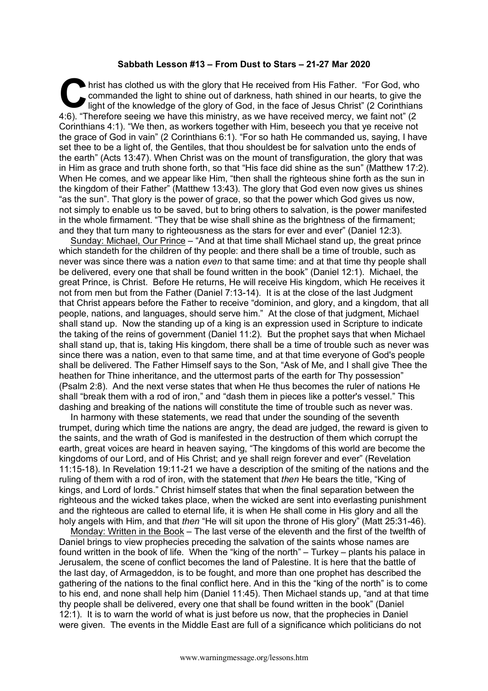## **Sabbath Lesson #13 – From Dust to Stars – 21-27 Mar 2020**

hrist has clothed us with the glory that He received from His Father. "For God, who commanded the light to shine out of darkness, hath shined in our hearts, to give the light of the knowledge of the glory of God, in the face of Jesus Christ" (2 Corinthians 4:6). "Therefore seeing we have this ministry, as we have received mercy, we faint not" (2 Corinthians 4:1). "We then, as workers together with Him, beseech you that ye receive not the grace of God in vain" (2 Corinthians 6:1). "For so hath He commanded us, saying, I have set thee to be a light of, the Gentiles, that thou shouldest be for salvation unto the ends of the earth" (Acts 13:47). When Christ was on the mount of transfiguration, the glory that was in Him as grace and truth shone forth, so that "His face did shine as the sun" (Matthew 17:2). When He comes, and we appear like Him, "then shall the righteous shine forth as the sun in the kingdom of their Father" (Matthew 13:43). The glory that God even now gives us shines "as the sun". That glory is the power of grace, so that the power which God gives us now, not simply to enable us to be saved, but to bring others to salvation, is the power manifested in the whole firmament. "They that be wise shall shine as the brightness of the firmament; and they that turn many to righteousness as the stars for ever and ever" (Daniel 12:3). C hris

Sunday: Michael, Our Prince – "And at that time shall Michael stand up, the great prince which standeth for the children of thy people: and there shall be a time of trouble, such as never was since there was a nation *even* to that same time: and at that time thy people shall be delivered, every one that shall be found written in the book" (Daniel 12:1). Michael, the great Prince, is Christ. Before He returns, He will receive His kingdom, which He receives it not from men but from the Father (Daniel 7:13-14). It is at the close of the last Judgment that Christ appears before the Father to receive "dominion, and glory, and a kingdom, that all people, nations, and languages, should serve him." At the close of that judgment, Michael shall stand up. Now the standing up of a king is an expression used in Scripture to indicate the taking of the reins of government (Daniel 11:2). But the prophet says that when Michael shall stand up, that is, taking His kingdom, there shall be a time of trouble such as never was since there was a nation, even to that same time, and at that time everyone of God's people shall be delivered. The Father Himself says to the Son, "Ask of Me, and I shall give Thee the heathen for Thine inheritance, and the uttermost parts of the earth for Thy possession" (Psalm 2:8). And the next verse states that when He thus becomes the ruler of nations He shall "break them with a rod of iron," and "dash them in pieces like a potter's vessel." This dashing and breaking of the nations will constitute the time of trouble such as never was.

In harmony with these statements, we read that under the sounding of the seventh trumpet, during which time the nations are angry, the dead are judged, the reward is given to the saints, and the wrath of God is manifested in the destruction of them which corrupt the earth, great voices are heard in heaven saying, "The kingdoms of this world are become the kingdoms of our Lord, and of His Christ; and ye shall reign forever and ever" (Revelation 11:15-18). In Revelation 19:11-21 we have a description of the smiting of the nations and the ruling of them with a rod of iron, with the statement that *then* He bears the title, "King of kings, and Lord of lords." Christ himself states that when the final separation between the righteous and the wicked takes place, when the wicked are sent into everlasting punishment and the righteous are called to eternal life, it is when He shall come in His glory and all the holy angels with Him, and that *then* "He will sit upon the throne of His glory" (Matt 25:31-46).

Monday: Written in the Book – The last verse of the eleventh and the first of the twelfth of Daniel brings to view prophecies preceding the salvation of the saints whose names are found written in the book of life. When the "king of the north" – Turkey – plants his palace in Jerusalem, the scene of conflict becomes the land of Palestine. It is here that the battle of the last day, of Armageddon, is to be fought, and more than one prophet has described the gathering of the nations to the final conflict here. And in this the "king of the north" is to come to his end, and none shall help him (Daniel 11:45). Then Michael stands up, "and at that time thy people shall be delivered, every one that shall be found written in the book" (Daniel 12:1). It is to warn the world of what is just before us now, that the prophecies in Daniel were given. The events in the Middle East are full of a significance which politicians do not